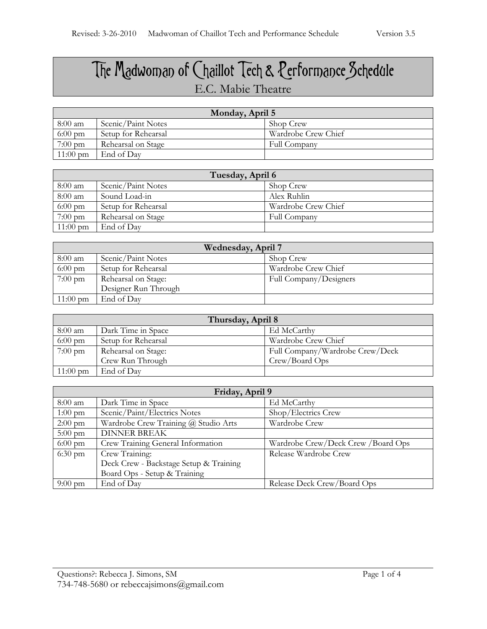## The Madwoman of Chaillot Tech & Performance Schedule E.C. Mabie Theatre

| Monday, April 5    |                     |                     |
|--------------------|---------------------|---------------------|
| $8:00$ am          | Scenic/Paint Notes  | Shop Crew           |
| $6:00 \text{ pm}$  | Setup for Rehearsal | Wardrobe Crew Chief |
| $7:00 \text{ pm}$  | Rehearsal on Stage  | Full Company        |
| $11:00 \text{ pm}$ | End of Day          |                     |

| Tuesday, April 6   |                     |                     |
|--------------------|---------------------|---------------------|
| 8:00 am            | Scenic/Paint Notes  | Shop Crew           |
| 8:00 am            | Sound Load-in       | Alex Ruhlin         |
| $6:00 \text{ pm}$  | Setup for Rehearsal | Wardrobe Crew Chief |
| $7:00 \text{ pm}$  | Rehearsal on Stage  | Full Company        |
| $11:00 \text{ pm}$ | End of Day          |                     |

| Wednesday, April 7 |                      |                        |
|--------------------|----------------------|------------------------|
| 8:00 am            | Scenic/Paint Notes   | Shop Crew              |
| $6:00 \text{ pm}$  | Setup for Rehearsal  | Wardrobe Crew Chief    |
| $7:00 \text{ pm}$  | Rehearsal on Stage:  | Full Company/Designers |
|                    | Designer Run Through |                        |
| $11:00 \text{ pm}$ | End of Day           |                        |

| Thursday, April 8  |                     |                                 |
|--------------------|---------------------|---------------------------------|
| $8:00 \text{ am}$  | Dark Time in Space  | Ed McCarthy                     |
| $6:00 \text{ pm}$  | Setup for Rehearsal | Wardrobe Crew Chief             |
| $7:00 \text{ pm}$  | Rehearsal on Stage: | Full Company/Wardrobe Crew/Deck |
|                    | Crew Run Through    | Crew/Board Ops                  |
| $11:00 \text{ pm}$ | End of Day          |                                 |

| Friday, April 9   |                                        |                                    |
|-------------------|----------------------------------------|------------------------------------|
| 8:00 am           | Dark Time in Space                     | Ed McCarthy                        |
| $1:00 \text{ pm}$ | Scenic/Paint/Electrics Notes           | Shop/Electrics Crew                |
| $2:00 \text{ pm}$ | Wardrobe Crew Training @ Studio Arts   | Wardrobe Crew                      |
| $5:00 \text{ pm}$ | <b>DINNER BREAK</b>                    |                                    |
| $6:00 \text{ pm}$ | Crew Training General Information      | Wardrobe Crew/Deck Crew /Board Ops |
| $6:30 \text{ pm}$ | Crew Training:                         | Release Wardrobe Crew              |
|                   | Deck Crew - Backstage Setup & Training |                                    |
|                   | Board Ops - Setup & Training           |                                    |
| $9:00 \text{ pm}$ | End of Day                             | Release Deck Crew/Board Ops        |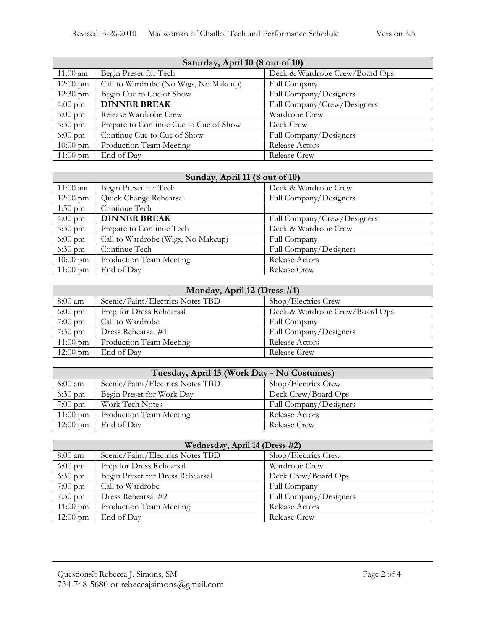| Saturday, April 10 (8 out of 10) |                                        |                                |
|----------------------------------|----------------------------------------|--------------------------------|
| $11:00$ am                       | Begin Preset for Tech                  | Deck & Wardrobe Crew/Board Ops |
| $12:00 \text{ pm}$               | Call to Wardrobe (No Wigs, No Makeup)  | Full Company                   |
| $12:30 \text{ pm}$               | Begin Cue to Cue of Show               | Full Company/Designers         |
| $4:00 \text{ pm}$                | <b>DINNER BREAK</b>                    | Full Company/Crew/Designers    |
| $5:00 \text{ pm}$                | Release Wardrobe Crew                  | Wardrobe Crew                  |
| $5:30 \text{ pm}$                | Prepare to Continue Cue to Cue of Show | Deck Crew                      |
| $6:00 \text{ pm}$                | Continue Cue to Cue of Show            | Full Company/Designers         |
| $10:00 \text{ pm}$               | Production Team Meeting                | Release Actors                 |
| $11:00 \text{ pm}$               | End of Day                             | <b>Release Crew</b>            |

| Sunday, April 11 (8 out of 10) |                                    |                             |
|--------------------------------|------------------------------------|-----------------------------|
| $11:00$ am                     | Begin Preset for Tech              | Deck & Wardrobe Crew        |
| $12:00 \text{ pm}$             | Quick Change Rehearsal             | Full Company/Designers      |
| $1:30 \text{ pm}$              | Continue Tech                      |                             |
| $4:00 \text{ pm}$              | <b>DINNER BREAK</b>                | Full Company/Crew/Designers |
| $5:30 \text{ pm}$              | Prepare to Continue Tech           | Deck & Wardrobe Crew        |
| $6:00 \text{ pm}$              | Call to Wardrobe (Wigs, No Makeup) | Full Company                |
| $6:30 \text{ pm}$              | Continue Tech                      | Full Company/Designers      |
| $10:00 \text{ pm}$             | Production Team Meeting            | Release Actors              |
| $11:00 \text{ pm}$             | End of Day                         | <b>Release Crew</b>         |

| Monday, April 12 (Dress #1) |                                  |                                |
|-----------------------------|----------------------------------|--------------------------------|
| $8:00$ am                   | Scenic/Paint/Electrics Notes TBD | Shop/Electrics Crew            |
| $6:00 \text{ pm}$           | Prep for Dress Rehearsal         | Deck & Wardrobe Crew/Board Ops |
| $7:00 \text{ pm}$           | Call to Wardrobe                 | Full Company                   |
| $7:30 \text{ pm}$           | Dress Rehearsal #1               | Full Company/Designers         |
| $11:00 \text{ pm}$          | Production Team Meeting          | Release Actors                 |
| $12:00 \text{ pm}$          | End of Day                       | Release Crew                   |

| Tuesday, April 13 (Work Day - No Costumes) |                                  |                        |
|--------------------------------------------|----------------------------------|------------------------|
| 8:00 am                                    | Scenic/Paint/Electrics Notes TBD | Shop/Electrics Crew    |
| $6:30 \text{ pm}$                          | Begin Preset for Work Day        | Deck Crew/Board Ops    |
| $7:00 \text{ pm}$                          | Work Tech Notes                  | Full Company/Designers |
| $11:00 \text{ pm}$                         | Production Team Meeting          | Release Actors         |
| $12:00 \text{ pm}$                         | End of Day                       | Release Crew           |

| Wednesday, April 14 (Dress #2) |                                  |                        |
|--------------------------------|----------------------------------|------------------------|
| $8:00$ am                      | Scenic/Paint/Electrics Notes TBD | Shop/Electrics Crew    |
| $6:00 \text{ pm}$              | Prep for Dress Rehearsal         | Wardrobe Crew          |
| $6:30 \text{ pm}$              | Begin Preset for Dress Rehearsal | Deck Crew/Board Ops    |
| $7:00 \text{ pm}$              | Call to Wardrobe                 | Full Company           |
| $7:30 \text{ pm}$              | Dress Rehearsal #2               | Full Company/Designers |
| $11:00 \text{ pm}$             | Production Team Meeting          | Release Actors         |
| $12:00 \text{ pm}$             | End of Day                       | <b>Release Crew</b>    |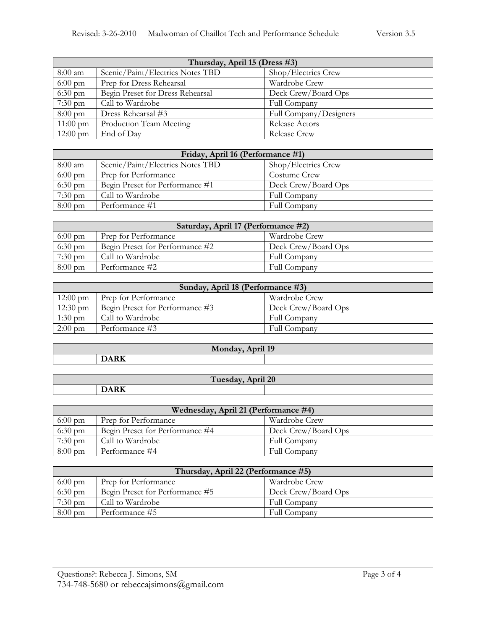| Thursday, April 15 (Dress #3) |                                  |                        |
|-------------------------------|----------------------------------|------------------------|
| 8:00 am                       | Scenic/Paint/Electrics Notes TBD | Shop/Electrics Crew    |
| $6:00 \text{ pm}$             | Prep for Dress Rehearsal         | Wardrobe Crew          |
| $6:30 \text{ pm}$             | Begin Preset for Dress Rehearsal | Deck Crew/Board Ops    |
| $7:30 \text{ pm}$             | Call to Wardrobe                 | Full Company           |
| $8:00 \text{ pm}$             | Dress Rehearsal #3               | Full Company/Designers |
| $11:00 \text{ pm}$            | Production Team Meeting          | Release Actors         |
| $12:00 \text{ pm}$            | End of Day                       | Release Crew           |

| Friday, April 16 (Performance #1) |                                  |                     |
|-----------------------------------|----------------------------------|---------------------|
| 8:00 am                           | Scenic/Paint/Electrics Notes TBD | Shop/Electrics Crew |
| $6:00 \text{ pm}$                 | Prep for Performance             | Costume Crew        |
| $6:30$ pm                         | Begin Preset for Performance #1  | Deck Crew/Board Ops |
| $7:30$ pm                         | Call to Wardrobe                 | Full Company        |
| $8:00 \text{ pm}$                 | Performance #1                   | Full Company        |

| Saturday, April 17 (Performance #2) |                                 |                     |  |
|-------------------------------------|---------------------------------|---------------------|--|
| $6:00 \text{ pm}$                   | Prep for Performance            | Wardrobe Crew       |  |
| $6:30 \text{ pm}$                   | Begin Preset for Performance #2 | Deck Crew/Board Ops |  |
| $7:30 \text{ pm}$                   | Call to Wardrobe                | Full Company        |  |
| $8:00 \text{ pm}$                   | Performance #2                  | Full Company        |  |

| Sunday, April 18 (Performance #3) |                                 |                     |
|-----------------------------------|---------------------------------|---------------------|
| $12:00 \text{ pm}$                | <b>Prep for Performance</b>     | Wardrobe Crew       |
| $12:30 \text{ pm}$                | Begin Preset for Performance #3 | Deck Crew/Board Ops |
| $1:30$ pm                         | Call to Wardrobe                | Full Company        |
| $2:00 \text{ pm}$                 | Performance #3                  | Full Company        |

| Monday, April 19 |     |  |  |
|------------------|-----|--|--|
|                  | T/T |  |  |
|                  |     |  |  |

| pril 20<br>Tuesday,<br>$\cdot$ $\cdot$ |                                                                                          |  |  |
|----------------------------------------|------------------------------------------------------------------------------------------|--|--|
|                                        | $T^*$<br>the contract of the contract of the contract of the contract of the contract of |  |  |

| Wednesday, April 21 (Performance #4) |                                 |                     |  |
|--------------------------------------|---------------------------------|---------------------|--|
| $6:00 \text{ pm}$                    | Prep for Performance            | Wardrobe Crew       |  |
| $6:30 \text{ pm}$                    | Begin Preset for Performance #4 | Deck Crew/Board Ops |  |
| $7:30 \text{ pm}$                    | Call to Wardrobe                | Full Company        |  |
| $8:00 \text{ pm}$                    | Performance #4                  | Full Company        |  |

| Thursday, April 22 (Performance #5) |                                 |                     |  |
|-------------------------------------|---------------------------------|---------------------|--|
| $6:00 \text{ pm}$                   | Prep for Performance            | Wardrobe Crew       |  |
| $6:30 \text{ pm}$                   | Begin Preset for Performance #5 | Deck Crew/Board Ops |  |
| $7:30 \text{ pm}$                   | Call to Wardrobe                | Full Company        |  |
| $8:00 \text{ pm}$                   | Performance #5                  | Full Company        |  |